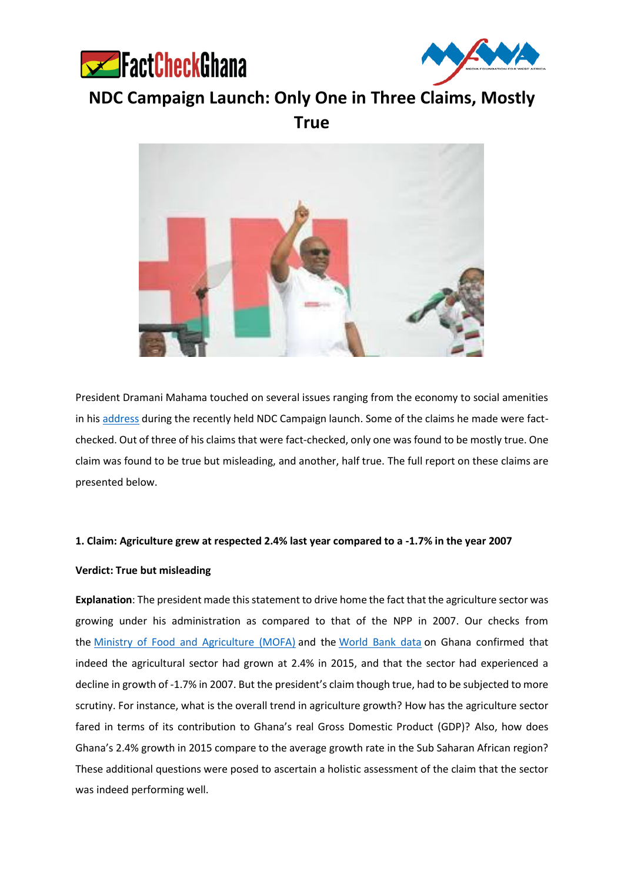



**NDC Campaign Launch: Only One in Three Claims, Mostly True**



President Dramani Mahama touched on several issues ranging from the economy to social amenities in his [address](https://www.youtube.com/watch?v=7x98foocKAQ) during the recently held NDC Campaign launch. Some of the claims he made were factchecked. Out of three of his claims that were fact-checked, only one was found to be mostly true. One claim was found to be true but misleading, and another, half true. The full report on these claims are presented below.

## **1. Claim: Agriculture grew at respected 2.4% last year compared to a -1.7% in the year 2007**

## **Verdict: True but misleading**

**Explanation**: The president made this statement to drive home the fact that the agriculture sector was growing under his administration as compared to that of the NPP in 2007. Our checks from the [Ministry of Food and Agriculture \(MOFA\)](http://mofa.gov.gh/site/?page_id=6032) and the [World Bank data](http://databank.worldbank.org/data/reports.aspx?source=2&country=GHA) on Ghana confirmed that indeed the agricultural sector had grown at 2.4% in 2015, and that the sector had experienced a decline in growth of -1.7% in 2007. But the president's claim though true, had to be subjected to more scrutiny. For instance, what is the overall trend in agriculture growth? How has the agriculture sector fared in terms of its contribution to Ghana's real Gross Domestic Product (GDP)? Also, how does Ghana's 2.4% growth in 2015 compare to the average growth rate in the Sub Saharan African region? These additional questions were posed to ascertain a holistic assessment of the claim that the sector was indeed performing well.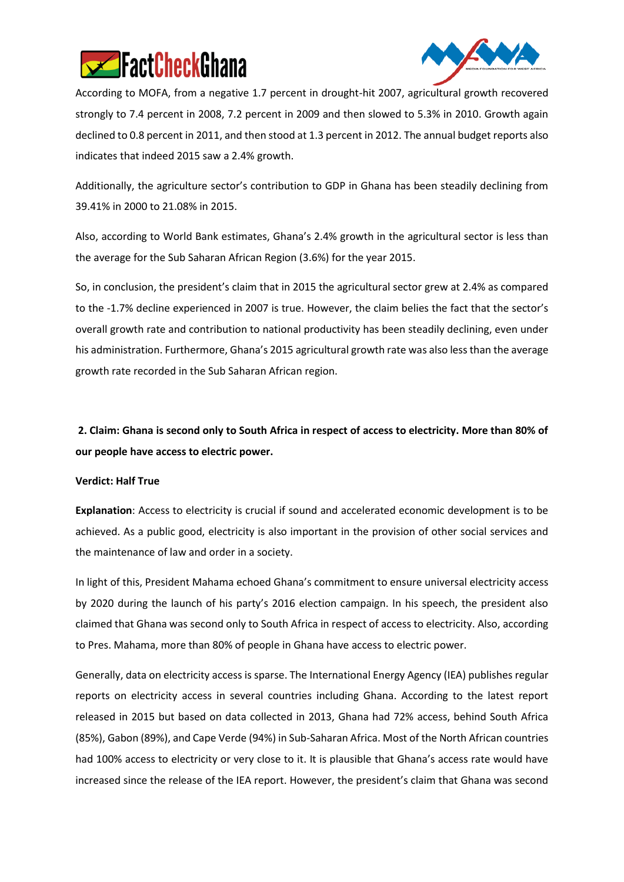



According to MOFA, from a negative 1.7 percent in drought-hit 2007, agricultural growth recovered strongly to 7.4 percent in 2008, 7.2 percent in 2009 and then slowed to 5.3% in 2010. Growth again declined to 0.8 percent in 2011, and then stood at 1.3 percent in 2012. The annual budget reports also indicates that indeed 2015 saw a 2.4% growth.

Additionally, the agriculture sector's contribution to GDP in Ghana has been steadily declining from 39.41% in 2000 to 21.08% in 2015.

Also, according to World Bank estimates, Ghana's 2.4% growth in the agricultural sector is less than the average for the Sub Saharan African Region (3.6%) for the year 2015.

So, in conclusion, the president's claim that in 2015 the agricultural sector grew at 2.4% as compared to the -1.7% decline experienced in 2007 is true. However, the claim belies the fact that the sector's overall growth rate and contribution to national productivity has been steadily declining, even under his administration. Furthermore, Ghana's 2015 agricultural growth rate was also less than the average growth rate recorded in the Sub Saharan African region.

**2. Claim: Ghana is second only to South Africa in respect of access to electricity. More than 80% of our people have access to electric power.**

## **Verdict: Half True**

**Explanation**: Access to electricity is crucial if sound and accelerated economic development is to be achieved. As a public good, electricity is also important in the provision of other social services and the maintenance of law and order in a society.

In light of this, President Mahama echoed Ghana's commitment to ensure universal electricity access by 2020 during the launch of his party's 2016 election campaign. In his speech, the president also claimed that Ghana was second only to South Africa in respect of access to electricity. Also, according to Pres. Mahama, more than 80% of people in Ghana have access to electric power.

Generally, data on electricity access is sparse. The International Energy Agency (IEA) publishes regular reports on electricity access in several countries including Ghana. According to the latest report released in 2015 but based on data collected in 2013, Ghana had 72% access, behind South Africa (85%), Gabon (89%), and Cape Verde (94%) in Sub-Saharan Africa. Most of the North African countries had 100% access to electricity or very close to it. It is plausible that Ghana's access rate would have increased since the release of the IEA report. However, the president's claim that Ghana was second